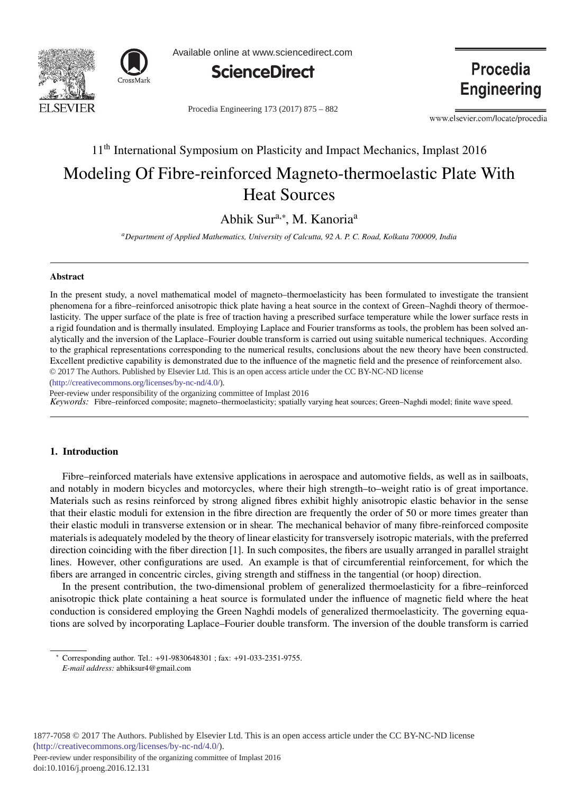



Available online at www.sciencedirect.com



Procedia Engineering 173 (2017) 875 - 882

www.elsevier.com/locate/procedia

**Procedia** 

**Engineering** 

# 11<sup>th</sup> International Symposium on Plasticity and Impact Mechanics, Implast 2016

# Modeling Of Fibre-reinforced Magneto-thermoelastic Plate With Heat Sources

Abhik Sur<sup>a,∗</sup>, M. Kanoria<sup>a</sup>

*aDepartment of Applied Mathematics, University of Calcutta, 92 A. P. C. Road, Kolkata 700009, India*

#### Abstract

In the present study, a novel mathematical model of magneto–thermoelasticity has been formulated to investigate the transient phenomena for a fibre–reinforced anisotropic thick plate having a heat source in the context of Green–Naghdi theory of thermoelasticity. The upper surface of the plate is free of traction having a prescribed surface temperature while the lower surface rests in a rigid foundation and is thermally insulated. Employing Laplace and Fourier transforms as tools, the problem has been solved analytically and the inversion of the Laplace–Fourier double transform is carried out using suitable numerical techniques. According to the graphical representations corresponding to the numerical results, conclusions about the new theory have been constructed. Excellent predictive capability is demonstrated due to the influence of the magnetic field and the presence of reinforcement also. © 2017 The Authors. Published by Elsevier Ltd. This is an open access article under the CC BY-NC-ND license

(http://creativecommons.org/licenses/by-nc-nd/4.0/).

Peer-review under responsibility of the organizing committee of Implast 2016

*Keywords:* Fibre–reinforced composite; magneto–thermoelasticity; spatially varying heat sources; Green–Naghdi model; finite wave speed.

## 1. Introduction

Fibre–reinforced materials have extensive applications in aerospace and automotive fields, as well as in sailboats, and notably in modern bicycles and motorcycles, where their high strength–to–weight ratio is of great importance. Materials such as resins reinforced by strong aligned fibres exhibit highly anisotropic elastic behavior in the sense that their elastic moduli for extension in the fibre direction are frequently the order of 50 or more times greater than their elastic moduli in transverse extension or in shear. The mechanical behavior of many fibre-reinforced composite materials is adequately modeled by the theory of linear elasticity for transversely isotropic materials, with the preferred direction coinciding with the fiber direction [1]. In such composites, the fibers are usually arranged in parallel straight lines. However, other configurations are used. An example is that of circumferential reinforcement, for which the fibers are arranged in concentric circles, giving strength and stiffness in the tangential (or hoop) direction.

In the present contribution, the two-dimensional problem of generalized thermoelasticity for a fibre–reinforced anisotropic thick plate containing a heat source is formulated under the influence of magnetic field where the heat conduction is considered employing the Green Naghdi models of generalized thermoelasticity. The governing equations are solved by incorporating Laplace–Fourier double transform. The inversion of the double transform is carried

Peer-review under responsibility of the organizing committee of Implast 2016

<sup>∗</sup> Corresponding author. Tel.: +91-9830648301 ; fax: +91-033-2351-9755.

*E-mail address:* abhiksur4@gmail.com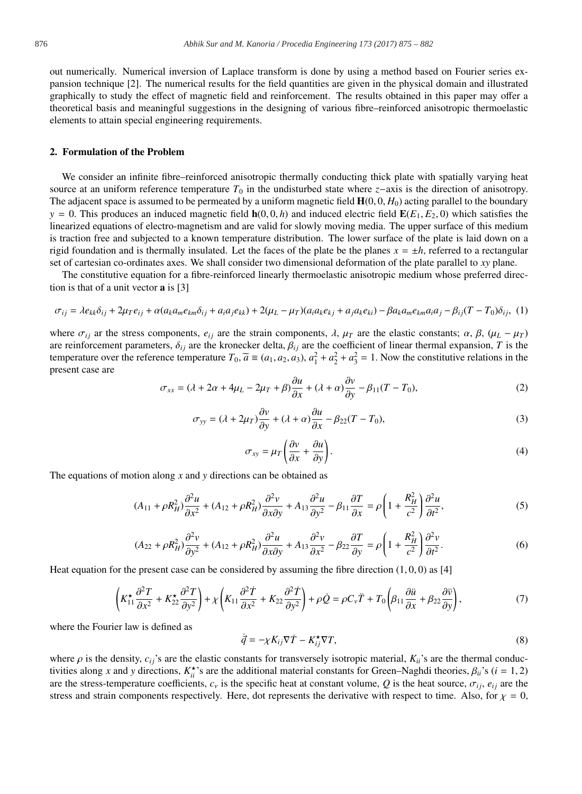out numerically. Numerical inversion of Laplace transform is done by using a method based on Fourier series expansion technique [2]. The numerical results for the field quantities are given in the physical domain and illustrated graphically to study the effect of magnetic field and reinforcement. The results obtained in this paper may offer a theoretical basis and meaningful suggestions in the designing of various fibre–reinforced anisotropic thermoelastic elements to attain special engineering requirements.

## 2. Formulation of the Problem

We consider an infinite fibre–reinforced anisotropic thermally conducting thick plate with spatially varying heat source at an uniform reference temperature  $T_0$  in the undisturbed state where *z*−axis is the direction of anisotropy. The adjacent space is assumed to be permeated by a uniform magnetic field  $H(0, 0, H_0)$  acting parallel to the boundary  $y = 0$ . This produces an induced magnetic field  $h(0, 0, h)$  and induced electric field  $E(E_1, E_2, 0)$  which satisfies the linearized equations of electro-magnetism and are valid for slowly moving media. The upper surface of this medium is traction free and subjected to a known temperature distribution. The lower surface of the plate is laid down on a rigid foundation and is thermally insulated. Let the faces of the plate be the planes  $x = \pm h$ , referred to a rectangular set of cartesian co-ordinates axes. We shall consider two dimensional deformation of the plate parallel to *xy* plane.

The constitutive equation for a fibre-reinforced linearly thermoelastic anisotropic medium whose preferred direction is that of a unit vector a is [3]

$$
\sigma_{ij} = \lambda e_{kk}\delta_{ij} + 2\mu_T e_{ij} + \alpha (a_k a_m e_{km}\delta_{ij} + a_i a_j e_{kk}) + 2(\mu_L - \mu_T)(a_i a_k e_{kj} + a_j a_k e_{ki}) - \beta a_k a_m e_{km} a_i a_j - \beta_{ij} (T - T_0)\delta_{ij},
$$
 (1)

where  $\sigma_{ij}$  ar the stress components,  $e_{ij}$  are the strain components,  $\lambda$ ,  $\mu_T$  are the elastic constants;  $\alpha$ ,  $\beta$ ,  $(\mu_L - \mu_T)$ are reinforcement parameters,  $\delta_{ij}$  are the kronecker delta,  $\beta_{ij}$  are the coefficient of linear thermal expansion, *T* is the temperature over the reference temperature  $T_0$ ,  $\tilde{a} \equiv (a_1, a_2, a_3)$ ,  $a_1^2 + a_2^2 + a_3^2 = 1$ . Now the constitutive relations in the present case are

$$
\sigma_{xx} = (\lambda + 2\alpha + 4\mu_L - 2\mu_T + \beta)\frac{\partial u}{\partial x} + (\lambda + \alpha)\frac{\partial v}{\partial y} - \beta_{11}(T - T_0),\tag{2}
$$

$$
\sigma_{yy} = (\lambda + 2\mu_T)\frac{\partial v}{\partial y} + (\lambda + \alpha)\frac{\partial u}{\partial x} - \beta_{22}(T - T_0),\tag{3}
$$

$$
\sigma_{xy} = \mu_T \left( \frac{\partial v}{\partial x} + \frac{\partial u}{\partial y} \right). \tag{4}
$$

The equations of motion along *x* and *y* directions can be obtained as

$$
(A_{11} + \rho R_H^2) \frac{\partial^2 u}{\partial x^2} + (A_{12} + \rho R_H^2) \frac{\partial^2 v}{\partial x \partial y} + A_{13} \frac{\partial^2 u}{\partial y^2} - \beta_{11} \frac{\partial T}{\partial x} = \rho \left( 1 + \frac{R_H^2}{c^2} \right) \frac{\partial^2 u}{\partial t^2},\tag{5}
$$

$$
(A_{22} + \rho R_H^2) \frac{\partial^2 v}{\partial y^2} + (A_{12} + \rho R_H^2) \frac{\partial^2 u}{\partial x \partial y} + A_{13} \frac{\partial^2 v}{\partial x^2} - \beta_{22} \frac{\partial T}{\partial y} = \rho \left( 1 + \frac{R_H^2}{c^2} \right) \frac{\partial^2 v}{\partial t^2}.
$$
 (6)

Heat equation for the present case can be considered by assuming the fibre direction  $(1, 0, 0)$  as [4]

$$
\left(K_{11}^{\star} \frac{\partial^2 T}{\partial x^2} + K_{22}^{\star} \frac{\partial^2 T}{\partial y^2}\right) + \chi \left(K_{11} \frac{\partial^2 T}{\partial x^2} + K_{22} \frac{\partial^2 T}{\partial y^2}\right) + \rho \dot{Q} = \rho C_v \ddot{T} + T_0 \left(\beta_{11} \frac{\partial \ddot{u}}{\partial x} + \beta_{22} \frac{\partial \ddot{v}}{\partial y}\right),\tag{7}
$$

where the Fourier law is defined as

$$
\dot{\vec{q}} = -\chi K_{ij}\nabla \dot{T} - K_{ij}^{\star}\nabla T,\tag{8}
$$

where  $\rho$  is the density,  $c_{ij}$ 's are the elastic constants for transversely isotropic material,  $K_{ii}$ 's are the thermal conductivities along *x* and *y* directions,  $K_{ii}^{\star}$ 's are the additional material constants for Green–Naghdi theories,  $\beta_{ii}$ 's (*i* = 1, 2) are the stress-temperature coefficients,  $c_v$  is the specific heat at constant volume, Q is the heat source,  $\sigma_{ij}$ ,  $e_{ij}$  are the stress and strain components respectively. Here, dot represents the derivative with respect to time. Also, for  $\chi = 0$ ,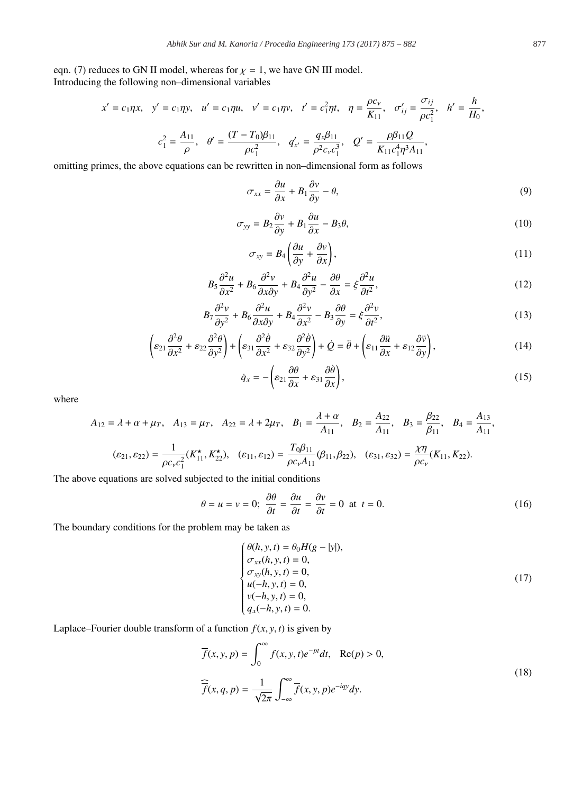eqn. (7) reduces to GN II model, whereas for  $\chi = 1$ , we have GN III model. Introducing the following non–dimensional variables

$$
x' = c_1 \eta x, \quad y' = c_1 \eta y, \quad u' = c_1 \eta u, \quad v' = c_1 \eta v, \quad t' = c_1^2 \eta t, \quad \eta = \frac{\rho c_v}{K_{11}}, \quad \sigma'_{ij} = \frac{\sigma_{ij}}{\rho c_1^2}, \quad h' = \frac{h}{H_0},
$$

$$
c_1^2 = \frac{A_{11}}{\rho}, \quad \theta' = \frac{(T - T_0)\beta_{11}}{\rho c_1^2}, \quad q'_{x'} = \frac{q_x \beta_{11}}{\rho^2 c_v c_1^3}, \quad Q' = \frac{\rho \beta_{11} Q}{K_{11} c_1^4 \eta^3 A_{11}},
$$

omitting primes, the above equations can be rewritten in non–dimensional form as follows

$$
\sigma_{xx} = \frac{\partial u}{\partial x} + B_1 \frac{\partial v}{\partial y} - \theta,\tag{9}
$$

$$
\sigma_{yy} = B_2 \frac{\partial v}{\partial y} + B_1 \frac{\partial u}{\partial x} - B_3 \theta,\tag{10}
$$

$$
\sigma_{xy} = B_4 \left( \frac{\partial u}{\partial y} + \frac{\partial v}{\partial x} \right),\tag{11}
$$

$$
B_5 \frac{\partial^2 u}{\partial x^2} + B_6 \frac{\partial^2 v}{\partial x \partial y} + B_4 \frac{\partial^2 u}{\partial y^2} - \frac{\partial \theta}{\partial x} = \xi \frac{\partial^2 u}{\partial t^2},\tag{12}
$$

$$
B_7 \frac{\partial^2 v}{\partial y^2} + B_6 \frac{\partial^2 u}{\partial x \partial y} + B_4 \frac{\partial^2 v}{\partial x^2} - B_3 \frac{\partial \theta}{\partial y} = \xi \frac{\partial^2 v}{\partial t^2},\tag{13}
$$

$$
\left(\varepsilon_{21}\frac{\partial^2 \theta}{\partial x^2} + \varepsilon_{22}\frac{\partial^2 \theta}{\partial y^2}\right) + \left(\varepsilon_{31}\frac{\partial^2 \theta}{\partial x^2} + \varepsilon_{32}\frac{\partial^2 \theta}{\partial y^2}\right) + \dot{Q} = \ddot{\theta} + \left(\varepsilon_{11}\frac{\partial \ddot{u}}{\partial x} + \varepsilon_{12}\frac{\partial \ddot{v}}{\partial y}\right),\tag{14}
$$

$$
\dot{q}_x = -\left(\varepsilon_{21}\frac{\partial \theta}{\partial x} + \varepsilon_{31}\frac{\partial \dot{\theta}}{\partial x}\right),\tag{15}
$$

where

$$
A_{12} = \lambda + \alpha + \mu_T, \quad A_{13} = \mu_T, \quad A_{22} = \lambda + 2\mu_T, \quad B_1 = \frac{\lambda + \alpha}{A_{11}}, \quad B_2 = \frac{A_{22}}{A_{11}}, \quad B_3 = \frac{\beta_{22}}{\beta_{11}}, \quad B_4 = \frac{A_{13}}{A_{11}},
$$

$$
(\varepsilon_{21}, \varepsilon_{22}) = \frac{1}{\rho c_v c_1^2} (K_{11}^{\star}, K_{22}^{\star}), \quad (\varepsilon_{11}, \varepsilon_{12}) = \frac{T_0 \beta_{11}}{\rho c_v A_{11}} (\beta_{11}, \beta_{22}), \quad (\varepsilon_{31}, \varepsilon_{32}) = \frac{\chi \eta}{\rho c_v} (K_{11}, K_{22}).
$$

The above equations are solved subjected to the initial conditions

$$
\theta = u = v = 0; \ \frac{\partial \theta}{\partial t} = \frac{\partial u}{\partial t} = \frac{\partial v}{\partial t} = 0 \ \text{at} \ t = 0. \tag{16}
$$

The boundary conditions for the problem may be taken as

$$
\begin{cases}\n\theta(h, y, t) = \theta_0 H(g - |y|), \\
\sigma_{xx}(h, y, t) = 0, \\
\sigma_{xy}(h, y, t) = 0, \\
u(-h, y, t) = 0, \\
y(-h, y, t) = 0, \\
q_x(-h, y, t) = 0.\n\end{cases}
$$
\n(17)

Laplace–Fourier double transform of a function  $f(x, y, t)$  is given by

$$
\overline{f}(x, y, p) = \int_0^\infty f(x, y, t)e^{-pt}dt, \quad \text{Re}(p) > 0,
$$
\n
$$
\widehat{\overline{f}}(x, q, p) = \frac{1}{\sqrt{2\pi}} \int_{-\infty}^\infty \overline{f}(x, y, p)e^{-iqy}dy.
$$
\n(18)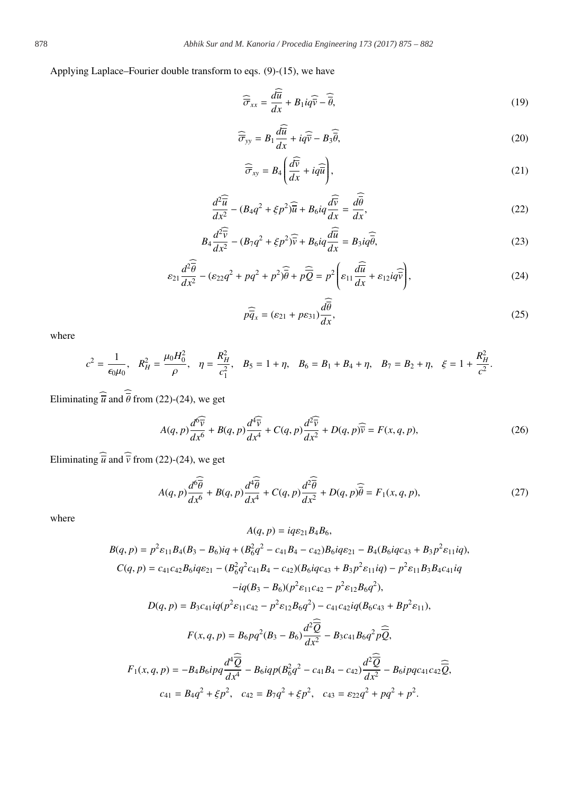Applying Laplace–Fourier double transform to eqs. (9)-(15), we have

$$
\widehat{\overline{\sigma}}_{xx} = \frac{d\overline{u}}{dx} + B_1 i q \widehat{\overline{v}} - \widehat{\overline{\theta}},\tag{19}
$$

$$
\widehat{\overline{\sigma}}_{yy} = B_1 \frac{d\widehat{\overline{u}}}{dx} + i\widehat{q}\widehat{\overline{v}} - B_3 \widehat{\overline{\theta}},
$$
\n(20)

$$
\widehat{\overline{\sigma}}_{xy} = B_4 \left( \frac{d\widehat{\overline{v}}}{dx} + iq\widehat{\overline{u}} \right),\tag{21}
$$

$$
\frac{d^2\widehat{\overline{u}}}{dx^2} - (B_4q^2 + \xi p^2)\widehat{\overline{u}} + B_6iq\frac{d\widehat{\overline{v}}}{dx} = \frac{d\widehat{\overline{\theta}}}{dx},\tag{22}
$$

$$
B_4 \frac{d^2 \overline{\widehat{v}}}{dx^2} - (B_7 q^2 + \xi p^2) \widehat{\overline{v}} + B_6 i q \frac{d \overline{\widehat{u}}}{dx} = B_3 i q \widehat{\overline{\theta}},\tag{23}
$$

$$
\varepsilon_{21}\frac{d^2\widehat{\theta}}{dx^2} - (\varepsilon_{22}q^2 + pq^2 + p^2)\widehat{\theta} + p\widehat{\overline{Q}} = p^2\left(\varepsilon_{11}\frac{d\widehat{u}}{dx} + \varepsilon_{12}i q\widehat{\overline{v}}\right),\tag{24}
$$

$$
p\widehat{\overline{q}}_x = (\varepsilon_{21} + p\varepsilon_{31})\frac{d\widehat{\overline{\theta}}}{dx},\tag{25}
$$

where

$$
c^{2} = \frac{1}{\epsilon_{0}\mu_{0}}, \quad R_{H}^{2} = \frac{\mu_{0}H_{0}^{2}}{\rho}, \quad \eta = \frac{R_{H}^{2}}{c_{1}^{2}}, \quad B_{5} = 1 + \eta, \quad B_{6} = B_{1} + B_{4} + \eta, \quad B_{7} = B_{2} + \eta, \quad \xi = 1 + \frac{R_{H}^{2}}{c^{2}}.
$$

Eliminating  $\widehat{\overline{u}}$  and  $\widehat{\overline{\theta}}$  from (22)-(24), we get

$$
A(q,p)\frac{d^6\widehat{v}}{dx^6} + B(q,p)\frac{d^4\widehat{v}}{dx^4} + C(q,p)\frac{d^2\widehat{v}}{dx^2} + D(q,p)\widehat{\overline{v}} = F(x,q,p),
$$
\n(26)

Eliminating  $\widehat{\overline{u}}$  and  $\widehat{\overline{v}}$  from (22)-(24), we get

$$
A(q,p)\frac{d^6\hat{\theta}}{dx^6} + B(q,p)\frac{d^4\hat{\theta}}{dx^4} + C(q,p)\frac{d^2\hat{\theta}}{dx^2} + D(q,p)\hat{\theta} = F_1(x,q,p),\tag{27}
$$

where

$$
A(q, p) = iq\varepsilon_{21}B_{4}B_{6},
$$
  
\n
$$
B(q, p) = p^{2}\varepsilon_{11}B_{4}(B_{3} - B_{6})iq + (B_{6}^{2}q^{2} - c_{41}B_{4} - c_{42})B_{6}iq\varepsilon_{21} - B_{4}(B_{6}iqc_{43} + B_{3}p^{2}\varepsilon_{11}iq),
$$
  
\n
$$
C(q, p) = c_{41}c_{42}B_{6}iq\varepsilon_{21} - (B_{6}^{2}q^{2}c_{41}B_{4} - c_{42})(B_{6}iqc_{43} + B_{3}p^{2}\varepsilon_{11}iq) - p^{2}\varepsilon_{11}B_{3}B_{4}c_{41}iq
$$
  
\n
$$
-iq(B_{3} - B_{6})(p^{2}\varepsilon_{11}c_{42} - p^{2}\varepsilon_{12}B_{6}q^{2}),
$$
  
\n
$$
D(q, p) = B_{3}c_{41}iq(p^{2}\varepsilon_{11}c_{42} - p^{2}\varepsilon_{12}B_{6}q^{2}) - c_{41}c_{42}iq(B_{6}c_{43} + Bp^{2}\varepsilon_{11}),
$$
  
\n
$$
F(x, q, p) = B_{6}pq^{2}(B_{3} - B_{6})\frac{d^{2}\overline{Q}}{dx^{2}} - B_{3}c_{41}B_{6}q^{2}p\overline{Q},
$$
  
\n
$$
F_{1}(x, q, p) = -B_{4}B_{6}ipq\frac{d^{4}\overline{Q}}{dx^{4}} - B_{6}iqp(B_{6}^{2}q^{2} - c_{41}B_{4} - c_{42})\frac{d^{2}\overline{Q}}{dx^{2}} - B_{6}ipqc_{41}c_{42}\overline{Q},
$$
  
\n
$$
c_{41} = B_{4}q^{2} + \xi p^{2}, \quad c_{42} = B_{7}q^{2} + \xi p^{2}, \quad c_{43} = \varepsilon_{22}q^{2} + pq^{2} + p^{2}.
$$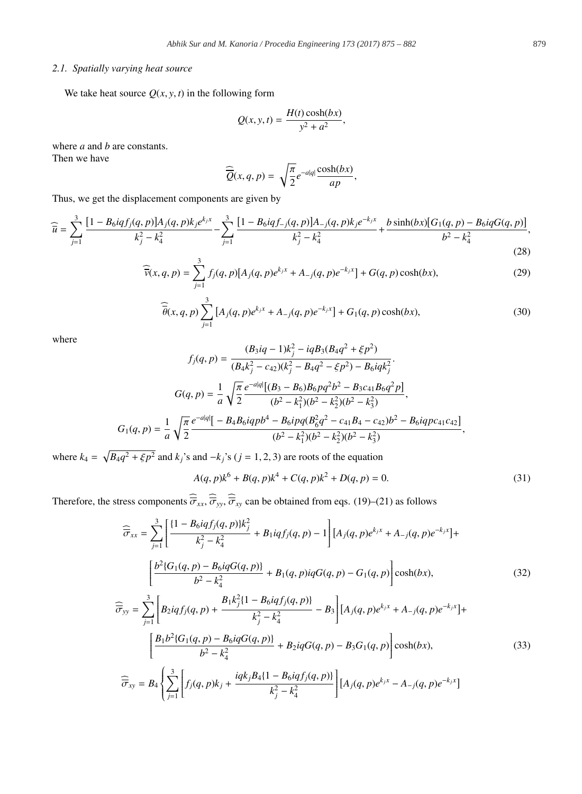# *2.1. Spatially varying heat source*

We take heat source  $Q(x, y, t)$  in the following form

$$
Q(x, y, t) = \frac{H(t)\cosh(bx)}{y^2 + a^2},
$$

where *a* and *b* are constants. Then we have

 $\widehat{Q}(x, q, p) = \sqrt{\frac{\pi}{2}}$  $rac{\pi}{2}e^{-a|q|}\frac{\cosh(bx)}{ap}$ ,

Thus, we get the displacement components are given by

$$
\widehat{\overline{u}} = \sum_{j=1}^{3} \frac{[1 - B_6 i q f_j(q, p)] A_j(q, p) k_j e^{k_j x}}{k_j^2 - k_4^2} - \sum_{j=1}^{3} \frac{[1 - B_6 i q f_{-j}(q, p)] A_{-j}(q, p) k_j e^{-k_j x}}{k_j^2 - k_4^2} + \frac{b \sinh(bx) [G_1(q, p) - B_6 i q G(q, p)]}{b^2 - k_4^2},
$$
\n(28)

$$
\widehat{\overline{v}}(x,q,p) = \sum_{j=1}^{3} f_j(q,p) [A_j(q,p)e^{k_j x} + A_{-j}(q,p)e^{-k_j x}] + G(q,p)\cosh(bx),
$$
\n(29)

$$
\widehat{\overline{\theta}}(x,q,p) \sum_{j=1}^{3} [A_j(q,p)e^{k_j x} + A_{-j}(q,p)e^{-k_j x}] + G_1(q,p)\cosh(bx), \qquad (30)
$$

where

$$
f_j(q, p) = \frac{(B_3iq - 1)k_j^2 - iqB_3(B_4q^2 + \xi p^2)}{(B_4k_j^2 - c_{42})(k_j^2 - B_4q^2 - \xi p^2) - B_6iqk_j^2}.
$$

$$
G(q, p) = \frac{1}{a} \sqrt{\frac{\pi}{2}} \frac{e^{-a|q|}[(B_3 - B_6)B_6pq^2b^2 - B_3c_{41}B_6q^2p]}{(b^2 - k_1^2)(b^2 - k_2^2)(b^2 - k_3^2)},
$$

$$
G_1(q, p) = \frac{1}{a} \sqrt{\frac{\pi}{2}} \frac{e^{-a|q|}[-B_4B_6iqpb^4 - B_6ipq(B_6^2q^2 - c_{41}B_4 - c_{42})b^2 - B_6iqpc_{41}c_{42}]}{(b^2 - k_1^2)(b^2 - k_2^2)(b^2 - k_3^2)},
$$

where  $k_4 = \sqrt{B_4 q^2 + \xi p^2}$  and  $k_j$ 's and  $-k_j$ 's ( $j = 1, 2, 3$ ) are roots of the equation

$$
A(q, p)k^6 + B(q, p)k^4 + C(q, p)k^2 + D(q, p) = 0.
$$
\n(31)

Therefore, the stress components  $\hat{\overline{\sigma}}_{xx}, \hat{\overline{\sigma}}_{yy}, \hat{\overline{\sigma}}_{xy}$  can be obtained from eqs. (19)–(21) as follows

$$
\widehat{\overline{\sigma}}_{xx} = \sum_{j=1}^{3} \left[ \frac{\{1 - B_6 i q f_j(q, p)\} k_j^2}{k_j^2 - k_4^2} + B_1 i q f_j(q, p) - 1 \right] [A_j(q, p)e^{k_j x} + A_{-j}(q, p)e^{-k_j x}] +
$$
\n
$$
\left[ \frac{b^2 \{G_1(q, p) - B_6 i q G(q, p)\}}{b^2 - k_4^2} + B_1(q, p) i q G(q, p) - G_1(q, p) \right] \cosh(bx),
$$
\n(32)

$$
\widehat{\overline{\sigma}}_{yy} = \sum_{j=1}^{3} \left[ B_2 i q f_j(q, p) + \frac{B_1 k_j^2 \{1 - B_6 i q f_j(q, p)\}}{k_j^2 - k_4^2} - B_3 \right] \left[ A_j(q, p) e^{k_j x} + A_{-j}(q, p) e^{-k_j x} \right] + \left[ \frac{B_1 b^2 \{G_1(q, p) - B_6 i q G(q, p)\}}{b^2 - k_4^2} + B_2 i q G(q, p) - B_3 G_1(q, p) \right] \cosh(bx),
$$
\n(33)

$$
\widehat{\overline{\sigma}}_{xy} = B_4 \left\{ \sum_{j=1}^3 \left[ f_j(q, p) k_j + \frac{i q k_j B_4 \{1 - B_6 i q f_j(q, p)\}}{k_j^2 - k_4^2} \right] \left[ A_j(q, p) e^{k_j x} - A_{-j}(q, p) e^{-k_j x} \right] \right\}
$$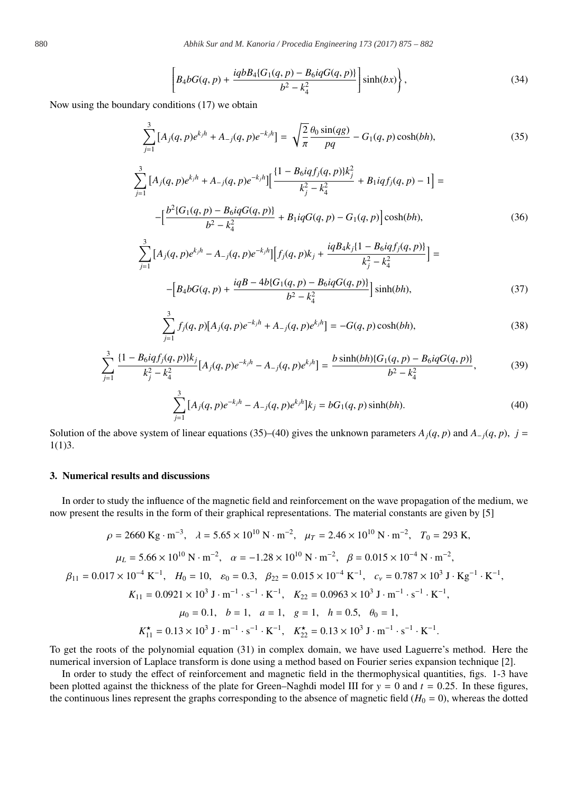$$
\[B_4 bG(q, p) + \frac{iq b B_4 (G_1(q, p) - B_6 i q G(q, p))}{b^2 - k_4^2}\] \sinh(bx)\],
$$
\n(34)

Now using the boundary conditions (17) we obtain

$$
\sum_{j=1}^{3} \left[ A_j(q, p) e^{k_j h} + A_{-j}(q, p) e^{-k_j h} \right] = \sqrt{\frac{2}{\pi}} \frac{\theta_0 \sin(qg)}{pq} - G_1(q, p) \cosh(bh), \tag{35}
$$

$$
\sum_{j=1}^{3} \left[ A_j(q, p)e^{k_j h} + A_{-j}(q, p)e^{-k_j h} \right] \left[ \frac{(1 - B_6 i q f_j(q, p))k_j^2}{k_j^2 - k_4^2} + B_1 i q f_j(q, p) - 1 \right] =
$$
  
 
$$
- \left[ \frac{b^2 \{ G_1(q, p) - B_6 i q G(q, p) \}}{b^2 - k_4^2} + B_1 i q G(q, p) - G_1(q, p) \right] \cosh(bh), \tag{36}
$$

$$
\sum_{j=1}^{3} \left[ A_j(q, p)e^{k_j h} - A_{-j}(q, p)e^{-k_j h} \right] \left[ f_j(q, p)k_j + \frac{iq B_4 k_j (1 - B_6 i q f_j(q, p))}{k_j^2 - k_4^2} \right] =
$$
  
 
$$
- \left[ B_4 b G(q, p) + \frac{iq B - 4b \{ G_1(q, p) - B_6 i q G(q, p) \}}{b^2 - k_4^2} \right] \sinh(bh), \tag{37}
$$

$$
\sum_{j=1}^{3} f_j(q, p)[A_j(q, p)e^{-k_jh} + A_{-j}(q, p)e^{k_jh}] = -G(q, p)\cosh(bh),\tag{38}
$$

$$
\sum_{j=1}^{3} \frac{\{1 - B_6 i q f_j(q, p) \} k_j}{k_j^2 - k_4^2} [A_j(q, p) e^{-k_j h} - A_{-j}(q, p) e^{k_j h}] = \frac{b \sinh(bh) \{G_1(q, p) - B_6 i q G(q, p)\}}{b^2 - k_4^2},
$$
(39)

$$
\sum_{j=1}^{3} [A_j(q, p)e^{-k_jh} - A_{-j}(q, p)e^{k_jh}]k_j = bG_1(q, p)\sinh(bh).
$$
 (40)

Solution of the above system of linear equations (35)–(40) gives the unknown parameters  $A_j(q, p)$  and  $A_{-j}(q, p)$ ,  $j =$ 1(1)3.

#### 3. Numerical results and discussions

In order to study the influence of the magnetic field and reinforcement on the wave propagation of the medium, we now present the results in the form of their graphical representations. The material constants are given by [5]

$$
\rho = 2660 \text{ Kg} \cdot \text{m}^{-3}, \quad \lambda = 5.65 \times 10^{10} \text{ N} \cdot \text{m}^{-2}, \quad \mu_T = 2.46 \times 10^{10} \text{ N} \cdot \text{m}^{-2}, \quad T_0 = 293 \text{ K},
$$
  
\n
$$
\mu_L = 5.66 \times 10^{10} \text{ N} \cdot \text{m}^{-2}, \quad \alpha = -1.28 \times 10^{10} \text{ N} \cdot \text{m}^{-2}, \quad \beta = 0.015 \times 10^{-4} \text{ N} \cdot \text{m}^{-2},
$$
  
\n
$$
\beta_{11} = 0.017 \times 10^{-4} \text{ K}^{-1}, \quad H_0 = 10, \quad \varepsilon_0 = 0.3, \quad \beta_{22} = 0.015 \times 10^{-4} \text{ K}^{-1}, \quad c_v = 0.787 \times 10^3 \text{ J} \cdot \text{Kg}^{-1} \cdot \text{K}^{-1},
$$
  
\n
$$
K_{11} = 0.0921 \times 10^3 \text{ J} \cdot \text{m}^{-1} \cdot \text{s}^{-1} \cdot \text{K}^{-1}, \quad K_{22} = 0.0963 \times 10^3 \text{ J} \cdot \text{m}^{-1} \cdot \text{s}^{-1} \cdot \text{K}^{-1},
$$
  
\n
$$
\mu_0 = 0.1, \quad b = 1, \quad a = 1, \quad g = 1, \quad h = 0.5, \quad \theta_0 = 1,
$$
  
\n
$$
K_{11}^{\star} = 0.13 \times 10^3 \text{ J} \cdot \text{m}^{-1} \cdot \text{s}^{-1} \cdot \text{K}^{-1}, \quad K_{22}^{\star} = 0.13 \times 10^3 \text{ J} \cdot \text{m}^{-1} \cdot \text{s}^{-1} \cdot \text{K}^{-1}.
$$

To get the roots of the polynomial equation (31) in complex domain, we have used Laguerre's method. Here the numerical inversion of Laplace transform is done using a method based on Fourier series expansion technique [2].

In order to study the effect of reinforcement and magnetic field in the thermophysical quantities, figs. 1-3 have been plotted against the thickness of the plate for Green–Naghdi model III for  $y = 0$  and  $t = 0.25$ . In these figures, the continuous lines represent the graphs corresponding to the absence of magnetic field ( $H_0 = 0$ ), whereas the dotted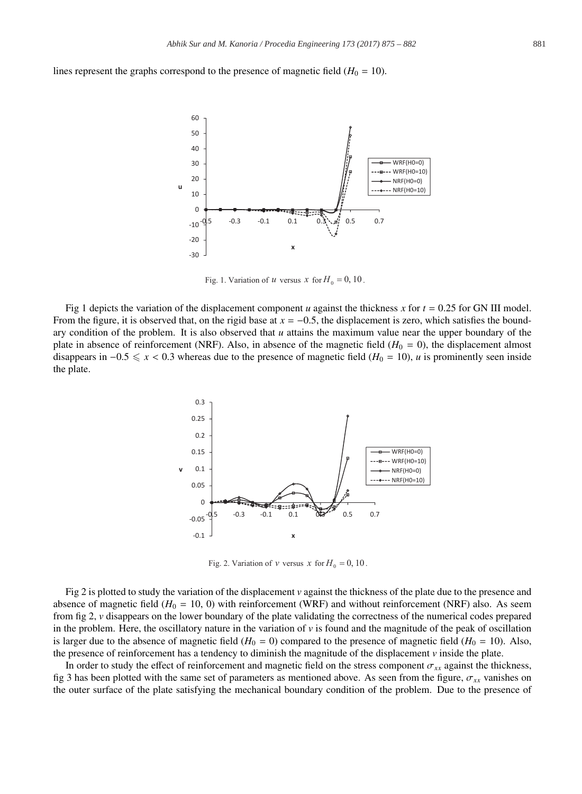lines represent the graphs correspond to the presence of magnetic field  $(H_0 = 10)$ .



Fig. 1. Variation of u versus x for  $H_0 = 0$ , 10

Fig 1 depicts the variation of the displacement component *u* against the thickness *x* for  $t = 0.25$  for GN III model. From the figure, it is observed that, on the rigid base at  $x = -0.5$ , the displacement is zero, which satisfies the boundary condition of the problem. It is also observed that *u* attains the maximum value near the upper boundary of the plate in absence of reinforcement (NRF). Also, in absence of the magnetic field  $(H_0 = 0)$ , the displacement almost disappears in  $-0.5 \le x < 0.3$  whereas due to the presence of magnetic field ( $H_0 = 10$ ), *u* is prominently seen inside the plate.



Fig. 2. Variation of *v* versus *x* for  $H_0 = 0$ , 10.

Fig 2 is plotted to study the variation of the displacement *v* against the thickness of the plate due to the presence and absence of magnetic field  $(H_0 = 10, 0)$  with reinforcement (WRF) and without reinforcement (NRF) also. As seem from fig 2, *v* disappears on the lower boundary of the plate validating the correctness of the numerical codes prepared in the problem. Here, the oscillatory nature in the variation of  $\nu$  is found and the magnitude of the peak of oscillation is larger due to the absence of magnetic field  $(H_0 = 0)$  compared to the presence of magnetic field  $(H_0 = 10)$ . Also, the presence of reinforcement has a tendency to diminish the magnitude of the displacement *v* inside the plate.

In order to study the effect of reinforcement and magnetic field on the stress component  $\sigma_{xx}$  against the thickness, fig 3 has been plotted with the same set of parameters as mentioned above. As seen from the figure,  $\sigma_{xx}$  vanishes on the outer surface of the plate satisfying the mechanical boundary condition of the problem. Due to the presence of